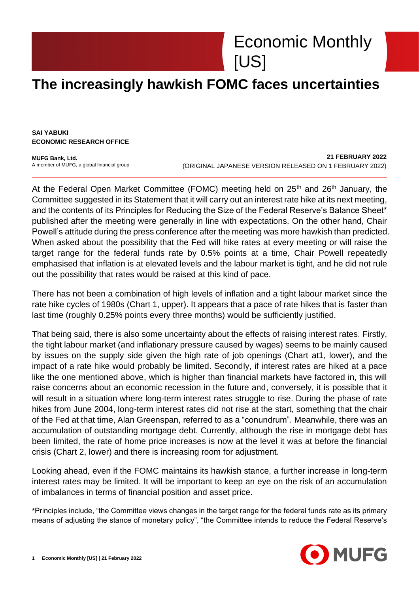## Economic Monthly [US]

## **The increasingly hawkish FOMC faces uncertainties**

**SAI YABUKI ECONOMIC RESEARCH OFFICE**

**MUFG Bank, Ltd.** A member of MUFG, a global financial group

**21 FEBRUARY 2022** (ORIGINAL JAPANESE VERSION RELEASED ON 1 FEBRUARY 2022)

At the Federal Open Market Committee (FOMC) meeting held on  $25<sup>th</sup>$  and  $26<sup>th</sup>$  January, the Committee suggested in its Statement that it will carry out an interest rate hike at its next meeting, and the contents of its Principles for Reducing the Size of the Federal Reserve's Balance Sheet\* published after the meeting were generally in line with expectations. On the other hand, Chair Powell's attitude during the press conference after the meeting was more hawkish than predicted. When asked about the possibility that the Fed will hike rates at every meeting or will raise the target range for the federal funds rate by 0.5% points at a time, Chair Powell repeatedly emphasised that inflation is at elevated levels and the labour market is tight, and he did not rule out the possibility that rates would be raised at this kind of pace.

There has not been a combination of high levels of inflation and a tight labour market since the rate hike cycles of 1980s (Chart 1, upper). It appears that a pace of rate hikes that is faster than last time (roughly 0.25% points every three months) would be sufficiently justified.

That being said, there is also some uncertainty about the effects of raising interest rates. Firstly, the tight labour market (and inflationary pressure caused by wages) seems to be mainly caused by issues on the supply side given the high rate of job openings (Chart at1, lower), and the impact of a rate hike would probably be limited. Secondly, if interest rates are hiked at a pace like the one mentioned above, which is higher than financial markets have factored in, this will raise concerns about an economic recession in the future and, conversely, it is possible that it will result in a situation where long-term interest rates struggle to rise. During the phase of rate hikes from June 2004, long-term interest rates did not rise at the start, something that the chair of the Fed at that time, Alan Greenspan, referred to as a "conundrum". Meanwhile, there was an accumulation of outstanding mortgage debt. Currently, although the rise in mortgage debt has been limited, the rate of home price increases is now at the level it was at before the financial crisis (Chart 2, lower) and there is increasing room for adjustment.

Looking ahead, even if the FOMC maintains its hawkish stance, a further increase in long-term interest rates may be limited. It will be important to keep an eye on the risk of an accumulation of imbalances in terms of financial position and asset price.

\*Principles include, "the Committee views changes in the target range for the federal funds rate as its primary means of adjusting the stance of monetary policy", "the Committee intends to reduce the Federal Reserve's